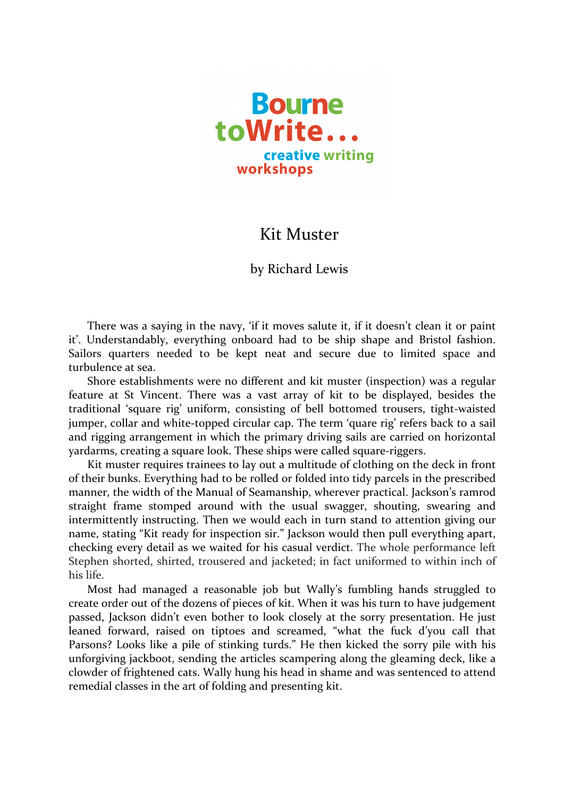

## Kit Muster

## by Richard Lewis

There was a saying in the navy, 'if it moves salute it, if it doesn't clean it or paint it'. Understandably, everything onboard had to be ship shape and Bristol fashion. Sailors quarters needed to be kept neat and secure due to limited space and turbulence at sea.

Shore establishments were no different and kit muster (inspection) was a regular feature at St Vincent. There was a vast array of kit to be displayed, besides the traditional 'square rig' uniform, consisting of bell bottomed trousers, tight-waisted jumper, collar and white-topped circular cap. The term 'quare rig' refers back to a sail and rigging arrangement in which the primary driving sails are carried on horizontal vardarms, creating a square look. These ships were called square-riggers.

Kit muster requires trainees to lay out a multitude of clothing on the deck in front of their bunks. Everything had to be rolled or folded into tidy parcels in the prescribed manner, the width of the Manual of Seamanship, wherever practical. Jackson's ramrod straight frame stomped around with the usual swagger, shouting, swearing and intermittently instructing. Then we would each in turn stand to attention giving our name, stating "Kit ready for inspection sir." Jackson would then pull everything apart, checking every detail as we waited for his casual verdict. The whole performance left Stephen shorted, shirted, trousered and jacketed; in fact uniformed to within inch of his life.

Most had managed a reasonable job but Wally's fumbling hands struggled to create order out of the dozens of pieces of kit. When it was his turn to have judgement passed, Jackson didn't even bother to look closely at the sorry presentation. He just leaned forward, raised on tiptoes and screamed, "what the fuck d'you call that Parsons? Looks like a pile of stinking turds." He then kicked the sorry pile with his unforgiving jackboot, sending the articles scampering along the gleaming deck, like a clowder of frightened cats. Wally hung his head in shame and was sentenced to attend remedial classes in the art of folding and presenting kit.